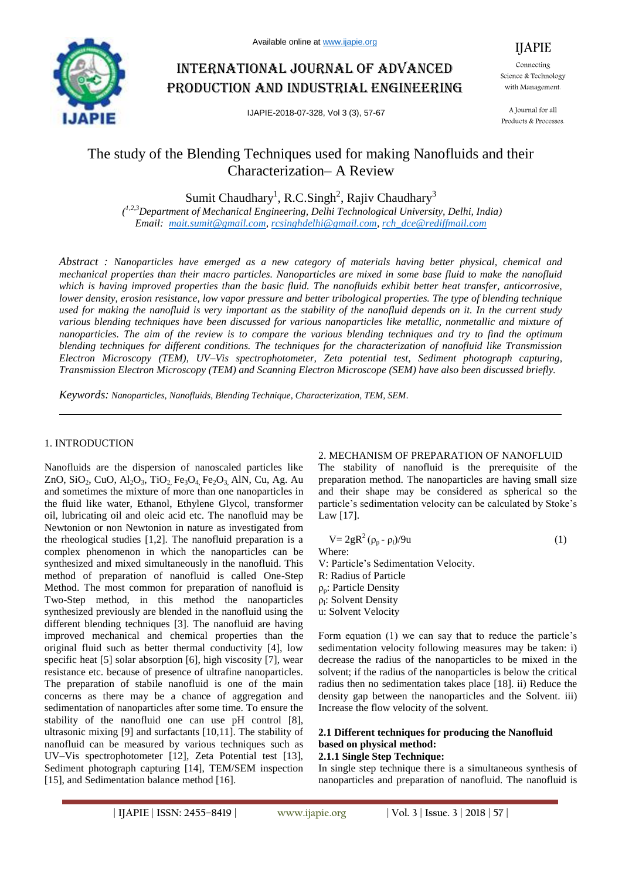

# International journal of advanced production and industrial engineering

IJAPIE-2018-07-328, Vol 3 (3), 57-67

IJAPIE Connecting Science & Technology with Management.

A Journal for all Products & Processes.

## The study of the Blending Techniques used for making Nanofluids and their Characterization– A Review

Sumit Chaudhary<sup>1</sup>, R.C.Singh<sup>2</sup>, Rajiv Chaudhary<sup>3</sup>

*( 1,2,3Department of Mechanical Engineering, Delhi Technological University, Delhi, India) Email: mait.sumit@gmail.com, rcsinghdelhi@gmail.com, rch\_dce@rediffmail.com*

*Abstract : Nanoparticles have emerged as a new category of materials having better physical, chemical and mechanical properties than their macro particles. Nanoparticles are mixed in some base fluid to make the nanofluid which is having improved properties than the basic fluid. The nanofluids exhibit better heat transfer, anticorrosive, lower density, erosion resistance, low vapor pressure and better tribological properties. The type of blending technique used for making the nanofluid is very important as the stability of the nanofluid depends on it. In the current study various blending techniques have been discussed for various nanoparticles like metallic, nonmetallic and mixture of nanoparticles. The aim of the review is to compare the various blending techniques and try to find the optimum blending techniques for different conditions. The techniques for the characterization of nanofluid like Transmission Electron Microscopy (TEM), UV–Vis spectrophotometer, Zeta potential test, Sediment photograph capturing, Transmission Electron Microscopy (TEM) and Scanning Electron Microscope (SEM) have also been discussed briefly.*

*Keywords: Nanoparticles, Nanofluids, Blending Technique, Characterization, TEM, SEM.*

## 1. INTRODUCTION

Nanofluids are the dispersion of nanoscaled particles like ZnO, SiO<sub>2</sub>, CuO, Al<sub>2</sub>O<sub>3</sub>, TiO<sub>2</sub>, Fe<sub>3</sub>O<sub>4</sub>, Fe<sub>2</sub>O<sub>3</sub>, AlN, Cu, Ag. Au and sometimes the mixture of more than one nanoparticles in the fluid like water, Ethanol, Ethylene Glycol, transformer oil, lubricating oil and oleic acid etc. The nanofluid may be Newtonion or non Newtonion in nature as investigated from the rheological studies [1,2]. The nanofluid preparation is a complex phenomenon in which the nanoparticles can be synthesized and mixed simultaneously in the nanofluid. This method of preparation of nanofluid is called One-Step Method. The most common for preparation of nanofluid is Two-Step method, in this method the nanoparticles synthesized previously are blended in the nanofluid using the different blending techniques [3]. The nanofluid are having improved mechanical and chemical properties than the original fluid such as better thermal conductivity [4], low specific heat [5] solar absorption [6], high viscosity [7], wear resistance etc. because of presence of ultrafine nanoparticles. The preparation of stabile nanofluid is one of the main concerns as there may be a chance of aggregation and sedimentation of nanoparticles after some time. To ensure the stability of the nanofluid one can use pH control [8], ultrasonic mixing [9] and surfactants [10,11]. The stability of nanofluid can be measured by various techniques such as UV–Vis spectrophotometer [12], Zeta Potential test [13], Sediment photograph capturing [14], TEM/SEM inspection [15], and Sedimentation balance method [16].

## 2. MECHANISM OF PREPARATION OF NANOFLUID

The stability of nanofluid is the prerequisite of the preparation method. The nanoparticles are having small size and their shape may be considered as spherical so the particle's sedimentation velocity can be calculated by Stoke's Law [17].

$$
V = 2gR2 (\rho_p - \rho_l)/9u
$$
 (1)  
Where:

V: Particle's Sedimentation Velocity. R: Radius of Particle  $ρ_p$ : Particle Density <sub>p<sub>l</sub>: Solvent Density</sub> u: Solvent Velocity

Form equation (1) we can say that to reduce the particle's sedimentation velocity following measures may be taken: i) decrease the radius of the nanoparticles to be mixed in the solvent; if the radius of the nanoparticles is below the critical radius then no sedimentation takes place [18]. ii) Reduce the density gap between the nanoparticles and the Solvent. iii) Increase the flow velocity of the solvent.

## **2.1 Different techniques for producing the Nanofluid based on physical method:**

#### **2.1.1 Single Step Technique:**

In single step technique there is a simultaneous synthesis of nanoparticles and preparation of nanofluid. The nanofluid is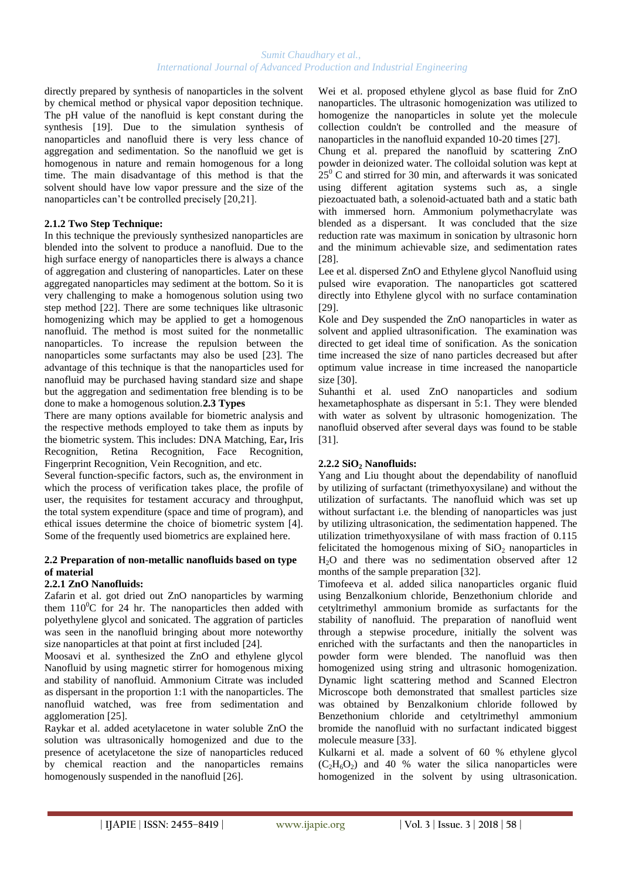directly prepared by synthesis of nanoparticles in the solvent by chemical method or physical vapor deposition technique. The pH value of the nanofluid is kept constant during the synthesis [19]. Due to the simulation synthesis of nanoparticles and nanofluid there is very less chance of aggregation and sedimentation. So the nanofluid we get is homogenous in nature and remain homogenous for a long time. The main disadvantage of this method is that the solvent should have low vapor pressure and the size of the nanoparticles can't be controlled precisely [20,21].

## **2.1.2 Two Step Technique:**

In this technique the previously synthesized nanoparticles are blended into the solvent to produce a nanofluid. Due to the high surface energy of nanoparticles there is always a chance of aggregation and clustering of nanoparticles. Later on these aggregated nanoparticles may sediment at the bottom. So it is very challenging to make a homogenous solution using two step method [22]. There are some techniques like ultrasonic homogenizing which may be applied to get a homogenous nanofluid. The method is most suited for the nonmetallic nanoparticles. To increase the repulsion between the nanoparticles some surfactants may also be used [23]. The advantage of this technique is that the nanoparticles used for nanofluid may be purchased having standard size and shape but the aggregation and sedimentation free blending is to be done to make a homogenous solution.**2.3 Types**

There are many options available for biometric analysis and the respective methods employed to take them as inputs by the biometric system. This includes: DNA Matching, Ear**,** Iris Recognition, Retina Recognition, Face Recognition, Fingerprint Recognition, Vein Recognition, and etc.

Several function-specific factors, such as, the environment in which the process of verification takes place, the profile of user, the requisites for testament accuracy and throughput, the total system expenditure (space and time of program), and ethical issues determine the choice of biometric system [4]. Some of the frequently used biometrics are explained here.

## **2.2 Preparation of non-metallic nanofluids based on type of material**

## **2.2.1 ZnO Nanofluids:**

Zafarin et al. got dried out ZnO nanoparticles by warming them  $110^0C$  for 24 hr. The nanoparticles then added with polyethylene glycol and sonicated. The aggration of particles was seen in the nanofluid bringing about more noteworthy size nanoparticles at that point at first included [24].

Moosavi et al. synthesized the ZnO and ethylene glycol Nanofluid by using magnetic stirrer for homogenous mixing and stability of nanofluid. Ammonium Citrate was included as dispersant in the proportion 1:1 with the nanoparticles. The nanofluid watched, was free from sedimentation and agglomeration [25].

Raykar et al. added acetylacetone in water soluble ZnO the solution was ultrasonically homogenized and due to the presence of acetylacetone the size of nanoparticles reduced by chemical reaction and the nanoparticles remains homogenously suspended in the nanofluid [26].

Wei et al. proposed ethylene glycol as base fluid for ZnO nanoparticles. The ultrasonic homogenization was utilized to homogenize the nanoparticles in solute yet the molecule collection couldn't be controlled and the measure of nanoparticles in the nanofluid expanded 10-20 times [27].

Chung et al. prepared the nanofluid by scattering ZnO powder in deionized water. The colloidal solution was kept at  $25^{\circ}$  C and stirred for 30 min, and afterwards it was sonicated using different agitation systems such as, a single piezoactuated bath, a solenoid-actuated bath and a static bath with immersed horn. Ammonium polymethacrylate was blended as a dispersant. It was concluded that the size reduction rate was maximum in sonication by ultrasonic horn and the minimum achievable size, and sedimentation rates [28].

Lee et al. dispersed ZnO and Ethylene glycol Nanofluid using pulsed wire evaporation. The nanoparticles got scattered directly into Ethylene glycol with no surface contamination [29].

Kole and Dey suspended the ZnO nanoparticles in water as solvent and applied ultrasonification. The examination was directed to get ideal time of sonification. As the sonication time increased the size of nano particles decreased but after optimum value increase in time increased the nanoparticle size [30].

Suhanthi et al. used ZnO nanoparticles and sodium hexametaphosphate as dispersant in 5:1. They were blended with water as solvent by ultrasonic homogenization. The nanofluid observed after several days was found to be stable [31].

## **2.2.2 SiO<sup>2</sup> Nanofluids:**

Yang and Liu thought about the dependability of nanofluid by utilizing of surfactant (trimethyoxysilane) and without the utilization of surfactants. The nanofluid which was set up without surfactant i.e. the blending of nanoparticles was just by utilizing ultrasonication, the sedimentation happened. The utilization trimethyoxysilane of with mass fraction of 0.115 felicitated the homogenous mixing of  $SiO<sub>2</sub>$  nanoparticles in H2O and there was no sedimentation observed after 12 months of the sample preparation [32].

Timofeeva et al. added silica nanoparticles organic fluid using Benzalkonium chloride, Benzethonium chloride and cetyltrimethyl ammonium bromide as surfactants for the stability of nanofluid. The preparation of nanofluid went through a stepwise procedure, initially the solvent was enriched with the surfactants and then the nanoparticles in powder form were blended. The nanofluid was then homogenized using string and ultrasonic homogenization. Dynamic light scattering method and Scanned Electron Microscope both demonstrated that smallest particles size was obtained by Benzalkonium chloride followed by Benzethonium chloride and cetyltrimethyl ammonium bromide the nanofluid with no surfactant indicated biggest molecule measure [33].

Kulkarni et al. made a solvent of 60 % ethylene glycol  $(C_2H_6O_2)$  and 40 % water the silica nanoparticles were homogenized in the solvent by using ultrasonication.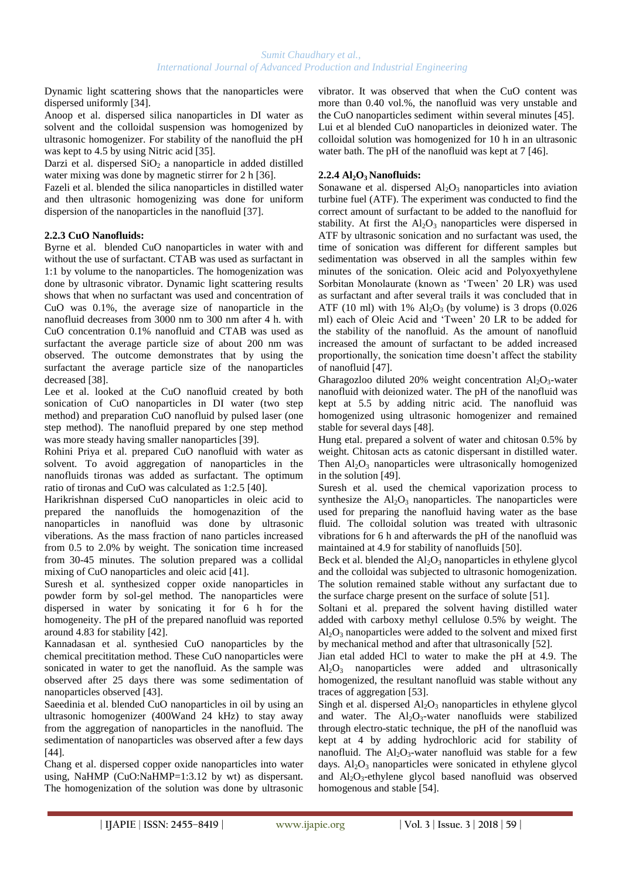Dynamic light scattering shows that the nanoparticles were dispersed uniformly [34].

Anoop et al. dispersed silica nanoparticles in DI water as solvent and the colloidal suspension was homogenized by ultrasonic homogenizer. For stability of the nanofluid the pH was kept to 4.5 by using Nitric acid [35].

Darzi et al. dispersed  $SiO<sub>2</sub>$  a nanoparticle in added distilled water mixing was done by magnetic stirrer for 2 h [36].

Fazeli et al. blended the silica nanoparticles in distilled water and then ultrasonic homogenizing was done for uniform dispersion of the nanoparticles in the nanofluid [37].

## **2.2.3 CuO Nanofluids:**

Byrne et al. blended CuO nanoparticles in water with and without the use of surfactant. CTAB was used as surfactant in 1:1 by volume to the nanoparticles. The homogenization was done by ultrasonic vibrator. Dynamic light scattering results shows that when no surfactant was used and concentration of CuO was 0.1%, the average size of nanoparticle in the nanofluid decreases from 3000 nm to 300 nm after 4 h. with CuO concentration 0.1% nanofluid and CTAB was used as surfactant the average particle size of about 200 nm was observed. The outcome demonstrates that by using the surfactant the average particle size of the nanoparticles decreased [38].

Lee et al. looked at the CuO nanofluid created by both sonication of CuO nanoparticles in DI water (two step method) and preparation CuO nanofluid by pulsed laser (one step method). The nanofluid prepared by one step method was more steady having smaller nanoparticles [39].

Rohini Priya et al. prepared CuO nanofluid with water as solvent. To avoid aggregation of nanoparticles in the nanofluids tironas was added as surfactant. The optimum ratio of tironas and CuO was calculated as 1:2.5 [40].

Harikrishnan dispersed CuO nanoparticles in oleic acid to prepared the nanofluids the homogenazition of the nanoparticles in nanofluid was done by ultrasonic viberations. As the mass fraction of nano particles increased from 0.5 to 2.0% by weight. The sonication time increased from 30-45 minutes. The solution prepared was a collidal mixing of CuO nanoparticles and oleic acid [41].

Suresh et al. synthesized copper oxide nanoparticles in powder form by sol-gel method. The nanoparticles were dispersed in water by sonicating it for 6 h for the homogeneity. The pH of the prepared nanofluid was reported around 4.83 for stability [42].

Kannadasan et al. synthesied CuO nanoparticles by the chemical precititation method. These CuO nanoparticles were sonicated in water to get the nanofluid. As the sample was observed after 25 days there was some sedimentation of nanoparticles observed [43].

Saeedinia et al. blended CuO nanoparticles in oil by using an ultrasonic homogenizer (400Wand 24 kHz) to stay away from the aggregation of nanoparticles in the nanofluid. The sedimentation of nanoparticles was observed after a few days [44].

Chang et al. dispersed copper oxide nanoparticles into water using, NaHMP (CuO:NaHMP=1:3.12 by wt) as dispersant. The homogenization of the solution was done by ultrasonic vibrator. It was observed that when the CuO content was more than 0.40 vol.%, the nanofluid was very unstable and the CuO nanoparticles sediment within several minutes [45]. Lui et al blended CuO nanoparticles in deionized water. The colloidal solution was homogenized for 10 h in an ultrasonic water bath. The pH of the nanofluid was kept at 7 [46].

## **2.2.4 Al2O3 Nanofluids:**

Sonawane et al. dispersed  $Al_2O_3$  nanoparticles into aviation turbine fuel (ATF). The experiment was conducted to find the correct amount of surfactant to be added to the nanofluid for stability. At first the  $Al_2O_3$  nanoparticles were dispersed in ATF by ultrasonic sonication and no surfactant was used, the time of sonication was different for different samples but sedimentation was observed in all the samples within few minutes of the sonication. Oleic acid and Polyoxyethylene Sorbitan Monolaurate (known as 'Tween' 20 LR) was used as surfactant and after several trails it was concluded that in ATF (10 ml) with  $1\%$  Al<sub>2</sub>O<sub>3</sub> (by volume) is 3 drops (0.026) ml) each of Oleic Acid and 'Tween' 20 LR to be added for the stability of the nanofluid. As the amount of nanofluid increased the amount of surfactant to be added increased proportionally, the sonication time doesn't affect the stability of nanofluid [47].

Gharagozloo diluted 20% weight concentration  $Al_2O_3$ -water nanofluid with deionized water. The pH of the nanofluid was kept at 5.5 by adding nitric acid. The nanofluid was homogenized using ultrasonic homogenizer and remained stable for several days [48].

Hung etal. prepared a solvent of water and chitosan 0.5% by weight. Chitosan acts as catonic dispersant in distilled water. Then  $Al_2O_3$  nanoparticles were ultrasonically homogenized in the solution [49].

Suresh et al. used the chemical vaporization process to synthesize the  $Al_2O_3$  nanoparticles. The nanoparticles were used for preparing the nanofluid having water as the base fluid. The colloidal solution was treated with ultrasonic vibrations for 6 h and afterwards the pH of the nanofluid was maintained at 4.9 for stability of nanofluids [50].

Beck et al. blended the  $Al_2O_3$  nanoparticles in ethylene glycol and the colloidal was subjected to ultrasonic homogenization. The solution remained stable without any surfactant due to the surface charge present on the surface of solute [51].

Soltani et al. prepared the solvent having distilled water added with carboxy methyl cellulose 0.5% by weight. The  $Al_2O_3$  nanoparticles were added to the solvent and mixed first by mechanical method and after that ultrasonically [52].

Jian etal added HCl to water to make the pH at 4.9. The Al2O<sup>3</sup> nanoparticles were added and ultrasonically homogenized, the resultant nanofluid was stable without any traces of aggregation [53].

Singh et al. dispersed  $Al_2O_3$  nanoparticles in ethylene glycol and water. The  $Al_2O_3$ -water nanofluids were stabilized through electro-static technique, the pH of the nanofluid was kept at 4 by adding hydrochloric acid for stability of nanofluid. The  $Al_2O_3$ -water nanofluid was stable for a few days.  $Al_2O_3$  nanoparticles were sonicated in ethylene glycol and Al2O3-ethylene glycol based nanofluid was observed homogenous and stable [54].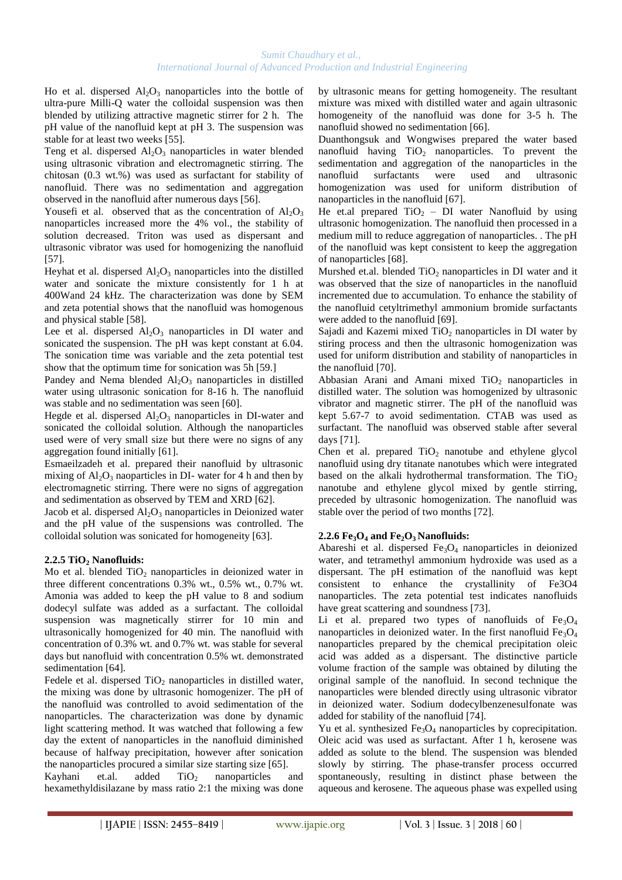Ho et al. dispersed  $Al_2O_3$  nanoparticles into the bottle of ultra-pure Milli-Q water the colloidal suspension was then blended by utilizing attractive magnetic stirrer for 2 h. The pH value of the nanofluid kept at pH 3. The suspension was stable for at least two weeks [55].

Teng et al. dispersed  $Al_2O_3$  nanoparticles in water blended using ultrasonic vibration and electromagnetic stirring. The chitosan (0.3 wt.%) was used as surfactant for stability of nanofluid. There was no sedimentation and aggregation observed in the nanofluid after numerous days [56].

Yousefi et al. observed that as the concentration of  $Al_2O_3$ nanoparticles increased more the 4% vol., the stability of solution decreased. Triton was used as dispersant and ultrasonic vibrator was used for homogenizing the nanofluid [57].

Heyhat et al. dispersed  $Al_2O_3$  nanoparticles into the distilled water and sonicate the mixture consistently for 1 h at 400Wand 24 kHz. The characterization was done by SEM and zeta potential shows that the nanofluid was homogenous and physical stable [58].

Lee et al. dispersed  $Al_2O_3$  nanoparticles in DI water and sonicated the suspension. The pH was kept constant at 6.04. The sonication time was variable and the zeta potential test show that the optimum time for sonication was 5h [59.]

Pandey and Nema blended  $Al<sub>2</sub>O<sub>3</sub>$  nanoparticles in distilled water using ultrasonic sonication for 8-16 h. The nanofluid was stable and no sedimentation was seen [60].

Hegde et al. dispersed  $Al_2O_3$  nanoparticles in DI-water and sonicated the colloidal solution. Although the nanoparticles used were of very small size but there were no signs of any aggregation found initially [61].

Esmaeilzadeh et al. prepared their nanofluid by ultrasonic mixing of  $Al_2O_3$  naoparticles in DI- water for 4 h and then by electromagnetic stirring. There were no signs of aggregation and sedimentation as observed by TEM and XRD [62].

Jacob et al. dispersed  $Al_2O_3$  nanoparticles in Deionized water and the pH value of the suspensions was controlled. The colloidal solution was sonicated for homogeneity [63].

## **2.2.5 TiO<sup>2</sup> Nanofluids:**

Mo et al. blended  $TiO<sub>2</sub>$  nanoparticles in deionized water in three different concentrations 0.3% wt., 0.5% wt., 0.7% wt. Amonia was added to keep the pH value to 8 and sodium dodecyl sulfate was added as a surfactant. The colloidal suspension was magnetically stirrer for 10 min and ultrasonically homogenized for 40 min. The nanofluid with concentration of 0.3% wt. and 0.7% wt. was stable for several days but nanofluid with concentration 0.5% wt. demonstrated sedimentation [64].

Fedele et al. dispersed  $TiO<sub>2</sub>$  nanoparticles in distilled water, the mixing was done by ultrasonic homogenizer. The pH of the nanofluid was controlled to avoid sedimentation of the nanoparticles. The characterization was done by dynamic light scattering method. It was watched that following a few day the extent of nanoparticles in the nanofluid diminished because of halfway precipitation, however after sonication the nanoparticles procured a similar size starting size [65].

Kayhani et.al. added TiO<sub>2</sub> nanoparticles and hexamethyldisilazane by mass ratio 2:1 the mixing was done by ultrasonic means for getting homogeneity. The resultant mixture was mixed with distilled water and again ultrasonic homogeneity of the nanofluid was done for 3-5 h. The nanofluid showed no sedimentation [66].

Duanthongsuk and Wongwises prepared the water based nanofluid having  $TiO<sub>2</sub>$  nanoparticles. To prevent the sedimentation and aggregation of the nanoparticles in the nanofluid surfactants were used and ultrasonic homogenization was used for uniform distribution of nanoparticles in the nanofluid [67].

He et.al prepared  $TiO<sub>2</sub> - DI$  water Nanofluid by using ultrasonic homogenization. The nanofluid then processed in a medium mill to reduce aggregation of nanoparticles. . The pH of the nanofluid was kept consistent to keep the aggregation of nanoparticles [68].

Murshed et.al. blended  $TiO<sub>2</sub>$  nanoparticles in DI water and it was observed that the size of nanoparticles in the nanofluid incremented due to accumulation. To enhance the stability of the nanofluid cetyltrimethyl ammonium bromide surfactants were added to the nanofluid [69].

Sajadi and Kazemi mixed  $TiO<sub>2</sub>$  nanoparticles in DI water by stiring process and then the ultrasonic homogenization was used for uniform distribution and stability of nanoparticles in the nanofluid [70].

Abbasian Arani and Amani mixed  $TiO<sub>2</sub>$  nanoparticles in distilled water. The solution was homogenized by ultrasonic vibrator and magnetic stirrer. The pH of the nanofluid was kept 5.67-7 to avoid sedimentation. CTAB was used as surfactant. The nanofluid was observed stable after several days [71].

Chen et al. prepared  $TiO<sub>2</sub>$  nanotube and ethylene glycol nanofluid using dry titanate nanotubes which were integrated based on the alkali hydrothermal transformation. The  $TiO<sub>2</sub>$ nanotube and ethylene glycol mixed by gentle stirring, preceded by ultrasonic homogenization. The nanofluid was stable over the period of two months [72].

## **2.2.6 Fe3O<sup>4</sup> and Fe2O3 Nanofluids:**

Abareshi et al. dispersed  $Fe<sub>3</sub>O<sub>4</sub>$  nanoparticles in deionized water, and tetramethyl ammonium hydroxide was used as a dispersant. The pH estimation of the nanofluid was kept consistent to enhance the crystallinity of Fe3O4 nanoparticles. The zeta potential test indicates nanofluids have great scattering and soundness [73].

Li et al. prepared two types of nanofluids of  $Fe<sub>3</sub>O<sub>4</sub>$ nanoparticles in deionized water. In the first nanofluid  $Fe<sub>3</sub>O<sub>4</sub>$ nanoparticles prepared by the chemical precipitation oleic acid was added as a dispersant. The distinctive particle volume fraction of the sample was obtained by diluting the original sample of the nanofluid. In second technique the nanoparticles were blended directly using ultrasonic vibrator in deionized water. Sodium dodecylbenzenesulfonate was added for stability of the nanofluid [74].

Yu et al. synthesized  $Fe<sub>3</sub>O<sub>4</sub>$  nanoparticles by coprecipitation. Oleic acid was used as surfactant. After 1 h, kerosene was added as solute to the blend. The suspension was blended slowly by stirring. The phase-transfer process occurred spontaneously, resulting in distinct phase between the aqueous and kerosene. The aqueous phase was expelled using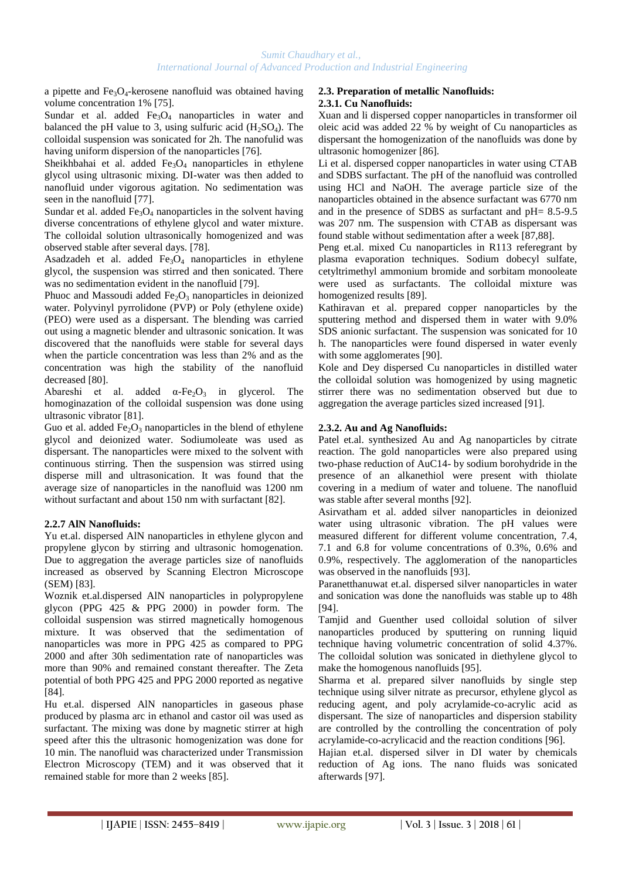a pipette and  $Fe<sub>3</sub>O<sub>4</sub>$ -kerosene nanofluid was obtained having volume concentration 1% [75].

Sundar et al. added  $Fe<sub>3</sub>O<sub>4</sub>$  nanoparticles in water and balanced the pH value to 3, using sulfuric acid  $(H_2SO_4)$ . The colloidal suspension was sonicated for 2h. The nanofulid was having uniform dispersion of the nanoparticles [76].

Sheikhbahai et al. added  $Fe<sub>3</sub>O<sub>4</sub>$  nanoparticles in ethylene glycol using ultrasonic mixing. DI-water was then added to nanofluid under vigorous agitation. No sedimentation was seen in the nanofluid [77].

Sundar et al. added  $Fe<sub>3</sub>O<sub>4</sub>$  nanoparticles in the solvent having diverse concentrations of ethylene glycol and water mixture. The colloidal solution ultrasonically homogenized and was observed stable after several days. [78].

Asadzadeh et al. added  $Fe<sub>3</sub>O<sub>4</sub>$  nanoparticles in ethylene glycol, the suspension was stirred and then sonicated. There was no sedimentation evident in the nanofluid [79].

Phuoc and Massoudi added  $Fe<sub>2</sub>O<sub>3</sub>$  nanoparticles in deionized water. Polyvinyl pyrrolidone (PVP) or Poly (ethylene oxide) (PEO) were used as a dispersant. The blending was carried out using a magnetic blender and ultrasonic sonication. It was discovered that the nanofluids were stable for several days when the particle concentration was less than 2% and as the concentration was high the stability of the nanofluid decreased [80].

Abareshi et al. added  $\alpha$ -Fe<sub>2</sub>O<sub>3</sub> in glycerol. The homoginazation of the colloidal suspension was done using ultrasonic vibrator [81].

Guo et al. added  $Fe<sub>2</sub>O<sub>3</sub>$  nanoparticles in the blend of ethylene glycol and deionized water. Sodiumoleate was used as dispersant. The nanoparticles were mixed to the solvent with continuous stirring. Then the suspension was stirred using disperse mill and ultrasonication. It was found that the average size of nanoparticles in the nanofluid was 1200 nm without surfactant and about 150 nm with surfactant [82].

## **2.2.7 AlN Nanofluids:**

Yu et.al. dispersed AlN nanoparticles in ethylene glycon and propylene glycon by stirring and ultrasonic homogenation. Due to aggregation the average particles size of nanofluids increased as observed by Scanning Electron Microscope (SEM) [83].

Woznik et.al.dispersed AlN nanoparticles in polypropylene glycon (PPG 425 & PPG 2000) in powder form. The colloidal suspension was stirred magnetically homogenous mixture. It was observed that the sedimentation of nanoparticles was more in PPG 425 as compared to PPG 2000 and after 30h sedimentation rate of nanoparticles was more than 90% and remained constant thereafter. The Zeta potential of both PPG 425 and PPG 2000 reported as negative [84].

Hu et.al. dispersed AlN nanoparticles in gaseous phase produced by plasma arc in ethanol and castor oil was used as surfactant. The mixing was done by magnetic stirrer at high speed after this the ultrasonic homogenization was done for 10 min. The nanofluid was characterized under Transmission Electron Microscopy (TEM) and it was observed that it remained stable for more than 2 weeks [85].

## **2.3. Preparation of metallic Nanofluids: 2.3.1. Cu Nanofluids:**

Xuan and li dispersed copper nanoparticles in transformer oil oleic acid was added 22 % by weight of Cu nanoparticles as dispersant the homogenization of the nanofluids was done by ultrasonic homogenizer [86].

Li et al. dispersed copper nanoparticles in water using CTAB and SDBS surfactant. The pH of the nanofluid was controlled using HCl and NaOH. The average particle size of the nanoparticles obtained in the absence surfactant was 6770 nm and in the presence of SDBS as surfactant and pH= 8.5-9.5 was 207 nm. The suspension with CTAB as dispersant was found stable without sedimentation after a week [87,88].

Peng et.al. mixed Cu nanoparticles in R113 referegrant by plasma evaporation techniques. Sodium dobecyl sulfate, cetyltrimethyl ammonium bromide and sorbitam monooleate were used as surfactants. The colloidal mixture was homogenized results [89].

Kathiravan et al. prepared copper nanoparticles by the sputtering method and dispersed them in water with 9.0% SDS anionic surfactant. The suspension was sonicated for 10 h. The nanoparticles were found dispersed in water evenly with some agglomerates [90].

Kole and Dey dispersed Cu nanoparticles in distilled water the colloidal solution was homogenized by using magnetic stirrer there was no sedimentation observed but due to aggregation the average particles sized increased [91].

## **2.3.2. Au and Ag Nanofluids:**

Patel et.al. synthesized Au and Ag nanoparticles by citrate reaction. The gold nanoparticles were also prepared using two-phase reduction of AuC14- by sodium borohydride in the presence of an alkanethiol were present with thiolate covering in a medium of water and toluene. The nanofluid was stable after several months [92].

Asirvatham et al. added silver nanoparticles in deionized water using ultrasonic vibration. The pH values were measured different for different volume concentration, 7.4, 7.1 and 6.8 for volume concentrations of 0.3%, 0.6% and 0.9%, respectively. The agglomeration of the nanoparticles was observed in the nanofluids [93].

Paranetthanuwat et.al. dispersed silver nanoparticles in water and sonication was done the nanofluids was stable up to 48h [94].

Tamjid and Guenther used colloidal solution of silver nanoparticles produced by sputtering on running liquid technique having volumetric concentration of solid 4.37%. The colloidal solution was sonicated in diethylene glycol to make the homogenous nanofluids [95].

Sharma et al. prepared silver nanofluids by single step technique using silver nitrate as precursor, ethylene glycol as reducing agent, and poly acrylamide-co-acrylic acid as dispersant. The size of nanoparticles and dispersion stability are controlled by the controlling the concentration of poly acrylamide-co-acrylicacid and the reaction conditions [96].

Hajian et.al. dispersed silver in DI water by chemicals reduction of Ag ions. The nano fluids was sonicated afterwards [97].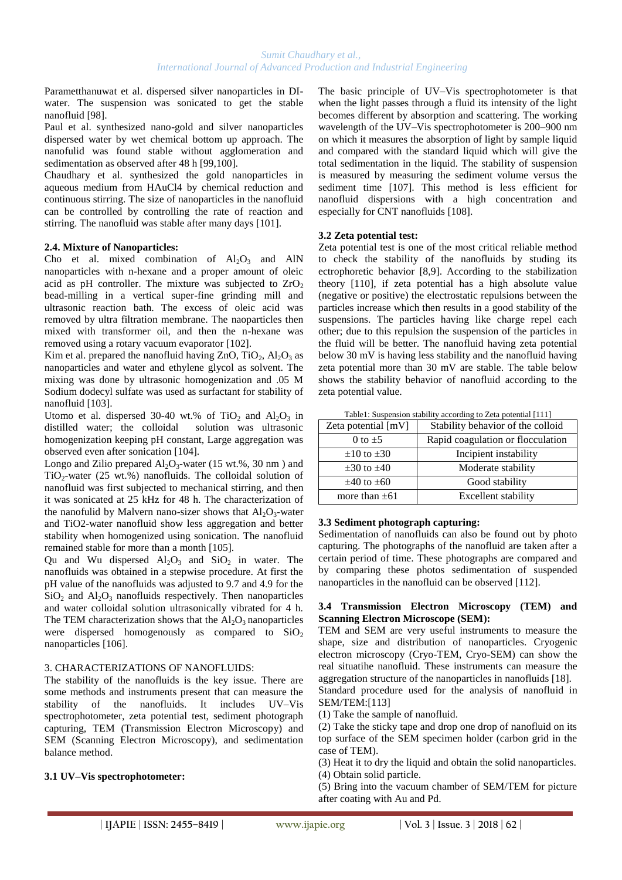Parametthanuwat et al. dispersed silver nanoparticles in DIwater. The suspension was sonicated to get the stable nanofluid [98].

Paul et al. synthesized nano-gold and silver nanoparticles dispersed water by wet chemical bottom up approach. The nanofulid was found stable without agglomeration and sedimentation as observed after 48 h [99,100].

Chaudhary et al. synthesized the gold nanoparticles in aqueous medium from HAuCl4 by chemical reduction and continuous stirring. The size of nanoparticles in the nanofluid can be controlled by controlling the rate of reaction and stirring. The nanofluid was stable after many days [101].

## **2.4. Mixture of Nanoparticles:**

Cho et al. mixed combination of  $Al_2O_3$  and AlN nanoparticles with n-hexane and a proper amount of oleic acid as pH controller. The mixture was subjected to  $ZrO<sub>2</sub>$ bead-milling in a vertical super-fine grinding mill and ultrasonic reaction bath. The excess of oleic acid was removed by ultra filtration membrane. The naoparticles then mixed with transformer oil, and then the n-hexane was removed using a rotary vacuum evaporator [102].

Kim et al. prepared the nanofluid having ZnO, TiO<sub>2</sub>,  $Al_2O_3$  as nanoparticles and water and ethylene glycol as solvent. The mixing was done by ultrasonic homogenization and .05 M Sodium dodecyl sulfate was used as surfactant for stability of nanofluid [103].

Utomo et al. dispersed 30-40 wt.% of  $TiO<sub>2</sub>$  and  $Al<sub>2</sub>O<sub>3</sub>$  in distilled water; the colloidal solution was ultrasonic homogenization keeping pH constant, Large aggregation was observed even after sonication [104].

Longo and Zilio prepared  $Al_2O_3$ -water (15 wt.%, 30 nm) and  $TiO<sub>2</sub>$ -water (25 wt.%) nanofluids. The colloidal solution of nanofluid was first subjected to mechanical stirring, and then it was sonicated at 25 kHz for 48 h. The characterization of the nanofulid by Malvern nano-sizer shows that  $Al_2O_3$ -water and TiO2-water nanofluid show less aggregation and better stability when homogenized using sonication. The nanofluid remained stable for more than a month [105].

Ou and Wu dispersed  $Al_2O_3$  and  $SiO_2$  in water. The nanofluids was obtained in a stepwise procedure. At first the pH value of the nanofluids was adjusted to 9.7 and 4.9 for the  $SiO<sub>2</sub>$  and  $Al<sub>2</sub>O<sub>3</sub>$  nanofluids respectively. Then nanoparticles and water colloidal solution ultrasonically vibrated for 4 h. The TEM characterization shows that the  $Al_2O_3$  nanoparticles were dispersed homogenously as compared to  $SiO<sub>2</sub>$ nanoparticles [106].

## 3. CHARACTERIZATIONS OF NANOFLUIDS:

The stability of the nanofluids is the key issue. There are some methods and instruments present that can measure the stability of the nanofluids. It includes UV–Vis spectrophotometer, zeta potential test, sediment photograph capturing, TEM (Transmission Electron Microscopy) and SEM (Scanning Electron Microscopy), and sedimentation balance method.

## **3.1 UV–Vis spectrophotometer:**

The basic principle of UV–Vis spectrophotometer is that when the light passes through a fluid its intensity of the light becomes different by absorption and scattering. The working wavelength of the UV–Vis spectrophotometer is 200–900 nm on which it measures the absorption of light by sample liquid and compared with the standard liquid which will give the total sedimentation in the liquid. The stability of suspension is measured by measuring the sediment volume versus the sediment time [107]. This method is less efficient for nanofluid dispersions with a high concentration and especially for CNT nanofluids [108].

## **3.2 Zeta potential test:**

Zeta potential test is one of the most critical reliable method to check the stability of the nanofluids by studing its ectrophoretic behavior [8,9]. According to the stabilization theory [110], if zeta potential has a high absolute value (negative or positive) the electrostatic repulsions between the particles increase which then results in a good stability of the suspensions. The particles having like charge repel each other; due to this repulsion the suspension of the particles in the fluid will be better. The nanofluid having zeta potential below 30 mV is having less stability and the nanofluid having zeta potential more than 30 mV are stable. The table below shows the stability behavior of nanofluid according to the zeta potential value.

Table1: Suspension stability according to Zeta potential [111]

| Zeta potential [mV]  | Stability behavior of the colloid |
|----------------------|-----------------------------------|
| 0 to $+5$            | Rapid coagulation or flocculation |
| $\pm 10$ to $\pm 30$ | Incipient instability             |
| $\pm 30$ to $\pm 40$ | Moderate stability                |
| $\pm 40$ to $\pm 60$ | Good stability                    |
| more than $\pm 61$   | Excellent stability               |

## **3.3 Sediment photograph capturing:**

Sedimentation of nanofluids can also be found out by photo capturing. The photographs of the nanofluid are taken after a certain period of time. These photographs are compared and by comparing these photos sedimentation of suspended nanoparticles in the nanofluid can be observed [112].

## **3.4 Transmission Electron Microscopy (TEM) and Scanning Electron Microscope (SEM):**

TEM and SEM are very useful instruments to measure the shape, size and distribution of nanoparticles. Cryogenic electron microscopy (Cryo-TEM, Cryo-SEM) can show the real situatihe nanofluid. These instruments can measure the aggregation structure of the nanoparticles in nanofluids [18].

Standard procedure used for the analysis of nanofluid in SEM/TEM:[113]

(1) Take the sample of nanofluid.

(2) Take the sticky tape and drop one drop of nanofluid on its top surface of the SEM specimen holder (carbon grid in the case of TEM).

(3) Heat it to dry the liquid and obtain the solid nanoparticles.

(4) Obtain solid particle.

(5) Bring into the vacuum chamber of SEM/TEM for picture after coating with Au and Pd.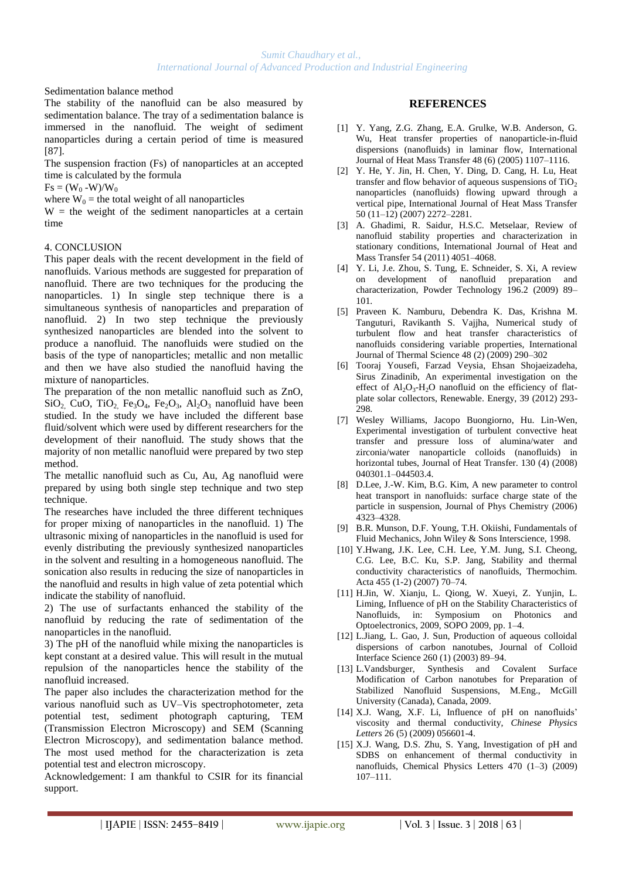Sedimentation balance method

The stability of the nanofluid can be also measured by sedimentation balance. The tray of a sedimentation balance is immersed in the nanofluid. The weight of sediment nanoparticles during a certain period of time is measured [87].

The suspension fraction (Fs) of nanoparticles at an accepted time is calculated by the formula

 $Fs = (W_0 - W)/W_0$ 

where  $W_0$  = the total weight of all nanoparticles

 $W =$  the weight of the sediment nanoparticles at a certain time

## 4. CONCLUSION

This paper deals with the recent development in the field of nanofluids. Various methods are suggested for preparation of nanofluid. There are two techniques for the producing the nanoparticles. 1) In single step technique there is a simultaneous synthesis of nanoparticles and preparation of nanofluid. 2) In two step technique the previously synthesized nanoparticles are blended into the solvent to produce a nanofluid. The nanofluids were studied on the basis of the type of nanoparticles; metallic and non metallic and then we have also studied the nanofluid having the mixture of nanoparticles.

The preparation of the non metallic nanofluid such as ZnO,  $SiO<sub>2</sub>$ , CuO, TiO<sub>2</sub>, Fe<sub>3</sub>O<sub>4</sub>, Fe<sub>2</sub>O<sub>3</sub>, Al<sub>2</sub>O<sub>3</sub> nanofluid have been studied. In the study we have included the different base fluid/solvent which were used by different researchers for the development of their nanofluid. The study shows that the majority of non metallic nanofluid were prepared by two step method.

The metallic nanofluid such as Cu, Au, Ag nanofluid were prepared by using both single step technique and two step technique.

The researches have included the three different techniques for proper mixing of nanoparticles in the nanofluid. 1) The ultrasonic mixing of nanoparticles in the nanofluid is used for evenly distributing the previously synthesized nanoparticles in the solvent and resulting in a homogeneous nanofluid. The sonication also results in reducing the size of nanoparticles in the nanofluid and results in high value of zeta potential which indicate the stability of nanofluid.

2) The use of surfactants enhanced the stability of the nanofluid by reducing the rate of sedimentation of the nanoparticles in the nanofluid.

3) The pH of the nanofluid while mixing the nanoparticles is kept constant at a desired value. This will result in the mutual repulsion of the nanoparticles hence the stability of the nanofluid increased.

The paper also includes the characterization method for the various nanofluid such as UV–Vis spectrophotometer, zeta potential test, sediment photograph capturing, TEM (Transmission Electron Microscopy) and SEM (Scanning Electron Microscopy), and sedimentation balance method. The most used method for the characterization is zeta potential test and electron microscopy.

Acknowledgement: I am thankful to CSIR for its financial support.

## **REFERENCES**

- [1] Y. Yang, Z.G. Zhang, E.A. Grulke, W.B. Anderson, G. Wu, Heat transfer properties of nanoparticle-in-fluid dispersions (nanofluids) in laminar flow, International Journal of Heat Mass Transfer 48 (6) (2005) 1107–1116.
- [2] Y. He, Y. Jin, H. Chen, Y. Ding, D. Cang, H. Lu, Heat transfer and flow behavior of aqueous suspensions of  $TiO<sub>2</sub>$ nanoparticles (nanofluids) flowing upward through a vertical pipe, International Journal of Heat Mass Transfer 50 (11–12) (2007) 2272–2281.
- [3] A. Ghadimi, R. Saidur, H.S.C. Metselaar, Review of nanofluid stability properties and characterization in stationary conditions, International Journal of Heat and Mass Transfer 54 (2011) 4051–4068.
- [4] Y. Li, J.e. Zhou, S. Tung, E. Schneider, S. Xi, A review on development of nanofluid preparation and characterization, Powder Technology 196.2 (2009) 89– 101.
- [5] Praveen K. Namburu, Debendra K. Das, Krishna M. Tanguturi, Ravikanth S. Vajjha, Numerical study of turbulent flow and heat transfer characteristics of nanofluids considering variable properties, International Journal of Thermal Science 48 (2) (2009) 290–302
- [6] Tooraj Yousefi, Farzad Veysia, Ehsan Shojaeizadeha, Sirus Zinadinib, An experimental investigation on the effect of  $Al_2O_3-H_2O$  nanofluid on the efficiency of flatplate solar collectors, Renewable. Energy, 39 (2012) 293- 298.
- [7] Wesley Williams, Jacopo Buongiorno, Hu. Lin-Wen, Experimental investigation of turbulent convective heat transfer and pressure loss of alumina/water and zirconia/water nanoparticle colloids (nanofluids) in horizontal tubes, Journal of Heat Transfer. 130 (4) (2008) 040301.1–044503.4.
- [8] D.Lee, J.-W. Kim, B.G. Kim, A new parameter to control heat transport in nanofluids: surface charge state of the particle in suspension, Journal of Phys Chemistry (2006) 4323–4328.
- [9] B.R. Munson, D.F. Young, T.H. Okiishi, Fundamentals of Fluid Mechanics, John Wiley & Sons Interscience, 1998.
- [10] Y.Hwang, J.K. Lee, C.H. Lee, Y.M. Jung, S.I. Cheong, C.G. Lee, B.C. Ku, S.P. Jang, Stability and thermal conductivity characteristics of nanofluids, Thermochim. Acta 455 (1-2) (2007) 70–74.
- [11] H.Jin, W. Xianju, L. Qiong, W. Xueyi, Z. Yunjin, L. Liming, Influence of pH on the Stability Characteristics of Nanofluids, in: Symposium on Photonics and Optoelectronics, 2009, SOPO 2009, pp. 1–4.
- [12] L.Jiang, L. Gao, J. Sun, Production of aqueous colloidal dispersions of carbon nanotubes, Journal of Colloid Interface Science 260 (1) (2003) 89–94.
- [13] L.Vandsburger, Synthesis and Covalent Surface Modification of Carbon nanotubes for Preparation of Stabilized Nanofluid Suspensions, M.Eng., McGill University (Canada), Canada, 2009.
- [14] X.J. Wang, X.F. Li, Influence of pH on nanofluids' viscosity and thermal conductivity, *Chinese Physics Letters* 26 (5) (2009) 056601-4.
- [15] X.J. Wang, D.S. Zhu, S. Yang, Investigation of pH and SDBS on enhancement of thermal conductivity in nanofluids, Chemical Physics Letters 470 (1–3) (2009) 107–111.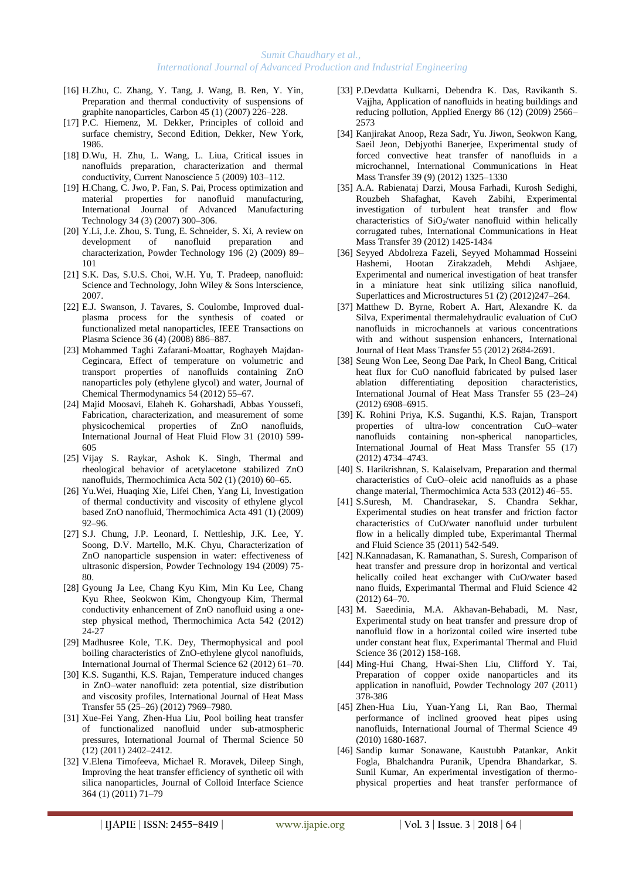- [16] H.Zhu, C. Zhang, Y. Tang, J. Wang, B. Ren, Y. Yin, Preparation and thermal conductivity of suspensions of graphite nanoparticles, Carbon 45 (1) (2007) 226–228.
- [17] P.C. Hiemenz, M. Dekker, Principles of colloid and surface chemistry, Second Edition, Dekker, New York, 1986.
- [18] D.Wu, H. Zhu, L. Wang, L. Liua, Critical issues in nanofluids preparation, characterization and thermal conductivity, Current Nanoscience 5 (2009) 103–112.
- [19] H.Chang, C. Jwo, P. Fan, S. Pai, Process optimization and material properties for nanofluid manufacturing, International Journal of Advanced Manufacturing Technology 34 (3) (2007) 300–306.
- [20] Y.Li, J.e. Zhou, S. Tung, E. Schneider, S. Xi, A review on development of nanofluid preparation and characterization, Powder Technology 196 (2) (2009) 89– 101
- [21] S.K. Das, S.U.S. Choi, W.H. Yu, T. Pradeep, nanofluid: Science and Technology, John Wiley & Sons Interscience, 2007.
- [22] E.J. Swanson, J. Tavares, S. Coulombe, Improved dualplasma process for the synthesis of coated or functionalized metal nanoparticles, IEEE Transactions on Plasma Science 36 (4) (2008) 886–887.
- [23] Mohammed Taghi Zafarani-Moattar, Roghayeh Majdan-Cegincara, Effect of temperature on volumetric and transport properties of nanofluids containing ZnO nanoparticles poly (ethylene glycol) and water, Journal of Chemical Thermodynamics 54 (2012) 55–67.
- [24] Majid Moosavi, Elaheh K. Goharshadi, Abbas Youssefi, Fabrication, characterization, and measurement of some physicochemical properties of ZnO nanofluids, International Journal of Heat Fluid Flow 31 (2010) 599- 605
- [25] Vijay S. Raykar, Ashok K. Singh, Thermal and rheological behavior of acetylacetone stabilized ZnO nanofluids, Thermochimica Acta 502 (1) (2010) 60–65.
- [26] Yu.Wei, Huaqing Xie, Lifei Chen, Yang Li, Investigation of thermal conductivity and viscosity of ethylene glycol based ZnO nanofluid, Thermochimica Acta 491 (1) (2009) 92–96.
- [27] S.J. Chung, J.P. Leonard, I. Nettleship, J.K. Lee, Y. Soong, D.V. Martello, M.K. Chyu, Characterization of ZnO nanoparticle suspension in water: effectiveness of ultrasonic dispersion, Powder Technology 194 (2009) 75- 80.
- [28] Gyoung Ja Lee, Chang Kyu Kim, Min Ku Lee, Chang Kyu Rhee, Seokwon Kim, Chongyoup Kim, Thermal conductivity enhancement of ZnO nanofluid using a onestep physical method, Thermochimica Acta 542 (2012) 24-27
- [29] Madhusree Kole, T.K. Dey, Thermophysical and pool boiling characteristics of ZnO-ethylene glycol nanofluids, International Journal of Thermal Science 62 (2012) 61–70.
- [30] K.S. Suganthi, K.S. Rajan, Temperature induced changes in ZnO–water nanofluid: zeta potential, size distribution and viscosity profiles, International Journal of Heat Mass Transfer 55 (25–26) (2012) 7969–7980.
- [31] Xue-Fei Yang, Zhen-Hua Liu, Pool boiling heat transfer of functionalized nanofluid under sub-atmospheric pressures, International Journal of Thermal Science 50 (12) (2011) 2402–2412.
- [32] V.Elena Timofeeva, Michael R. Moravek, Dileep Singh, Improving the heat transfer efficiency of synthetic oil with silica nanoparticles, Journal of Colloid Interface Science 364 (1) (2011) 71–79
- [33] P.Devdatta Kulkarni, Debendra K. Das, Ravikanth S. Vajjha, Application of nanofluids in heating buildings and reducing pollution, Applied Energy 86 (12) (2009) 2566– 2573
- [34] Kanjirakat Anoop, Reza Sadr, Yu. Jiwon, Seokwon Kang, Saeil Jeon, Debjyothi Banerjee, Experimental study of forced convective heat transfer of nanofluids in a microchannel, International Communications in Heat Mass Transfer 39 (9) (2012) 1325–1330
- [35] A.A. Rabienataj Darzi, Mousa Farhadi, Kurosh Sedighi, Rouzbeh Shafaghat, Kaveh Zabihi, Experimental investigation of turbulent heat transfer and flow characteristics of  $SiO_2/water$  nanofluid within helically corrugated tubes, International Communications in Heat Mass Transfer 39 (2012) 1425-1434
- [36] Seyyed Abdolreza Fazeli, Seyyed Mohammad Hosseini Hashemi, Hootan Zirakzadeh, Mehdi Ashjaee, Experimental and numerical investigation of heat transfer in a miniature heat sink utilizing silica nanofluid, Superlattices and Microstructures 51 (2) (2012)247–264.
- [37] Matthew D. Byrne, Robert A. Hart, Alexandre K. da Silva, Experimental thermalehydraulic evaluation of CuO nanofluids in microchannels at various concentrations with and without suspension enhancers, International Journal of Heat Mass Transfer 55 (2012) 2684-2691.
- [38] Seung Won Lee, Seong Dae Park, In Cheol Bang, Critical heat flux for CuO nanofluid fabricated by pulsed laser ablation differentiating deposition characteristics, International Journal of Heat Mass Transfer 55 (23–24) (2012) 6908–6915.
- [39] K. Rohini Priya, K.S. Suganthi, K.S. Rajan, Transport properties of ultra-low concentration CuO–water nanofluids containing non-spherical nanoparticles, International Journal of Heat Mass Transfer 55 (17) (2012) 4734–4743.
- [40] S. Harikrishnan, S. Kalaiselvam, Preparation and thermal characteristics of CuO–oleic acid nanofluids as a phase change material, Thermochimica Acta 533 (2012) 46–55.
- [41] S.Suresh, M. Chandrasekar, S. Chandra Sekhar, Experimental studies on heat transfer and friction factor characteristics of CuO/water nanofluid under turbulent flow in a helically dimpled tube, Experimantal Thermal and Fluid Science 35 (2011) 542-549.
- [42] N.Kannadasan, K. Ramanathan, S. Suresh, Comparison of heat transfer and pressure drop in horizontal and vertical helically coiled heat exchanger with CuO/water based nano fluids, Experimantal Thermal and Fluid Science 42 (2012) 64–70.
- [43] M. Saeedinia, M.A. Akhavan-Behabadi, M. Nasr, Experimental study on heat transfer and pressure drop of nanofluid flow in a horizontal coiled wire inserted tube under constant heat flux, Experimantal Thermal and Fluid Science 36 (2012) 158-168.
- [44] Ming-Hui Chang, Hwai-Shen Liu, Clifford Y. Tai, Preparation of copper oxide nanoparticles and its application in nanofluid, Powder Technology 207 (2011) 378-386
- [45] Zhen-Hua Liu, Yuan-Yang Li, Ran Bao, Thermal performance of inclined grooved heat pipes using nanofluids, International Journal of Thermal Science 49 (2010) 1680-1687.
- [46] Sandip kumar Sonawane, Kaustubh Patankar, Ankit Fogla, Bhalchandra Puranik, Upendra Bhandarkar, S. Sunil Kumar, An experimental investigation of thermophysical properties and heat transfer performance of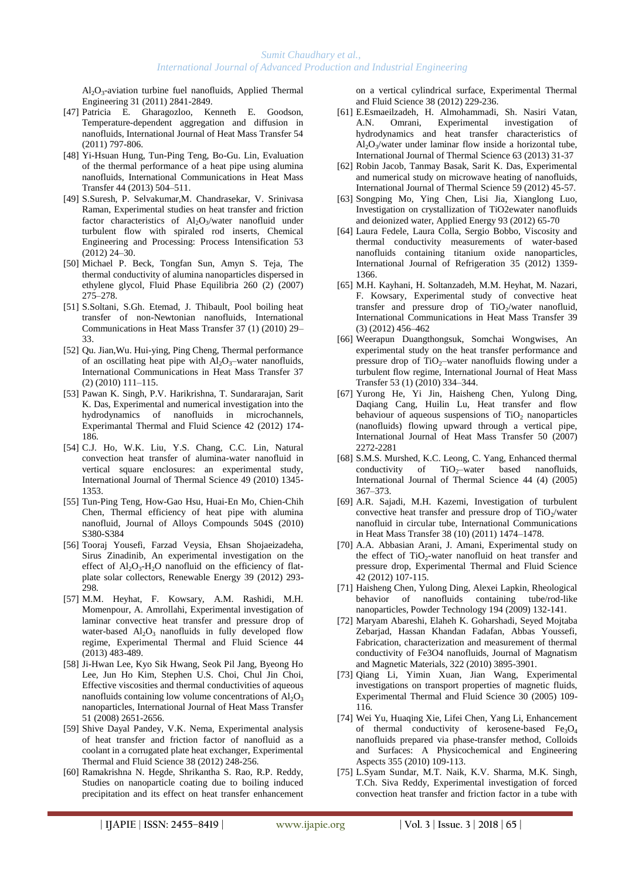Al2O<sup>3</sup> -aviation turbine fuel nanofluids, Applied Thermal Engineering 31 (2011) 2841-2849.

- [47] Patricia E. Gharagozloo, Kenneth E. Goodson, Temperature-dependent aggregation and diffusion in nanofluids, International Journal of Heat Mass Transfer 54 (2011) 797-806.
- [48] Yi-Hsuan Hung, Tun-Ping Teng, Bo-Gu. Lin, Evaluation of the thermal performance of a heat pipe using alumina nanofluids, International Communications in Heat Mass Transfer 44 (2013) 504–511.
- [49] S.Suresh, P. Selvakumar,M. Chandrasekar, V. Srinivasa Raman, Experimental studies on heat transfer and friction factor characteristics of  $Al_2O_3/water$  nanofluid under turbulent flow with spiraled rod inserts, Chemical Engineering and Processing: Process Intensification 53 (2012) 24–30.
- [50] Michael P. Beck, Tongfan Sun, Amyn S. Teja, The thermal conductivity of alumina nanoparticles dispersed in ethylene glycol, Fluid Phase Equilibria 260 (2) (2007) 275–278.
- [51] S.Soltani, S.Gh. Etemad, J. Thibault, Pool boiling heat transfer of non-Newtonian nanofluids, International Communications in Heat Mass Transfer 37 (1) (2010) 29– 33.
- [52] Qu. Jian,Wu. Hui-ying, Ping Cheng, Thermal performance of an oscillating heat pipe with  $Al_2O_3$ -water nanofluids, International Communications in Heat Mass Transfer 37 (2) (2010) 111–115.
- [53] Pawan K. Singh, P.V. Harikrishna, T. Sundararajan, Sarit K. Das, Experimental and numerical investigation into the hydrodynamics of nanofluids in microchannels, Experimantal Thermal and Fluid Science 42 (2012) 174- 186.
- [54] C.J. Ho, W.K. Liu, Y.S. Chang, C.C. Lin, Natural convection heat transfer of alumina-water nanofluid in vertical square enclosures: an experimental study, International Journal of Thermal Science 49 (2010) 1345- 1353.
- [55] Tun-Ping Teng, How-Gao Hsu, Huai-En Mo, Chien-Chih Chen, Thermal efficiency of heat pipe with alumina nanofluid, Journal of Alloys Compounds 504S (2010) S380-S384
- [56] Tooraj Yousefi, Farzad Veysia, Ehsan Shojaeizadeha, Sirus Zinadinib, An experimental investigation on the effect of  $Al_2O_3-H_2O$  nanofluid on the efficiency of flatplate solar collectors, Renewable Energy 39 (2012) 293- 298.
- [57] M.M. Heyhat, F. Kowsary, A.M. Rashidi, M.H. Momenpour, A. Amrollahi, Experimental investigation of laminar convective heat transfer and pressure drop of water-based  $Al_2O_3$  nanofluids in fully developed flow regime, Experimental Thermal and Fluid Science 44 (2013) 483-489.
- [58] Ji-Hwan Lee, Kyo Sik Hwang, Seok Pil Jang, Byeong Ho Lee, Jun Ho Kim, Stephen U.S. Choi, Chul Jin Choi, Effective viscosities and thermal conductivities of aqueous nanofluids containing low volume concentrations of  $Al_2O_3$ nanoparticles, International Journal of Heat Mass Transfer 51 (2008) 2651-2656.
- [59] Shive Dayal Pandey, V.K. Nema, Experimental analysis of heat transfer and friction factor of nanofluid as a coolant in a corrugated plate heat exchanger, Experimental Thermal and Fluid Science 38 (2012) 248-256.
- [60] Ramakrishna N. Hegde, Shrikantha S. Rao, R.P. Reddy, Studies on nanoparticle coating due to boiling induced precipitation and its effect on heat transfer enhancement

on a vertical cylindrical surface, Experimental Thermal and Fluid Science 38 (2012) 229-236.

- [61] E.Esmaeilzadeh, H. Almohammadi, Sh. Nasiri Vatan, A.N. Omrani, Experimental investigation of hydrodynamics and heat transfer characteristics of  $Al_2O_3$ /water under laminar flow inside a horizontal tube, International Journal of Thermal Science 63 (2013) 31-37
- [62] Robin Jacob, Tanmay Basak, Sarit K. Das, Experimental and numerical study on microwave heating of nanofluids, International Journal of Thermal Science 59 (2012) 45-57.
- [63] Songping Mo, Ying Chen, Lisi Jia, Xianglong Luo, Investigation on crystallization of TiO2ewater nanofluids and deionized water, Applied Energy 93 (2012) 65-70
- [64] Laura Fedele, Laura Colla, Sergio Bobbo, Viscosity and thermal conductivity measurements of water-based nanofluids containing titanium oxide nanoparticles, International Journal of Refrigeration 35 (2012) 1359- 1366.
- [65] M.H. Kayhani, H. Soltanzadeh, M.M. Heyhat, M. Nazari, F. Kowsary, Experimental study of convective heat transfer and pressure drop of  $TiO_2/water$  nanofluid, International Communications in Heat Mass Transfer 39 (3) (2012) 456–462
- [66] Weerapun Duangthongsuk, Somchai Wongwises, An experimental study on the heat transfer performance and pressure drop of  $TiO<sub>2</sub>$ –water nanofluids flowing under a turbulent flow regime, International Journal of Heat Mass Transfer 53 (1) (2010) 334–344.
- [67] Yurong He, Yi Jin, Haisheng Chen, Yulong Ding, Daqiang Cang, Huilin Lu, Heat transfer and flow behaviour of aqueous suspensions of  $TiO<sub>2</sub>$  nanoparticles (nanofluids) flowing upward through a vertical pipe, International Journal of Heat Mass Transfer 50 (2007) 2272-2281
- [68] S.M.S. Murshed, K.C. Leong, C. Yang, Enhanced thermal conductivity of  $TiO<sub>2</sub>$ –water based nanofluids, International Journal of Thermal Science 44 (4) (2005) 367–373.
- [69] A.R. Sajadi, M.H. Kazemi, Investigation of turbulent convective heat transfer and pressure drop of  $TiO_2/water$ nanofluid in circular tube, International Communications in Heat Mass Transfer 38 (10) (2011) 1474–1478.
- [70] A.A. Abbasian Arani, J. Amani, Experimental study on the effect of  $TiO<sub>2</sub>$ -water nanofluid on heat transfer and pressure drop, Experimental Thermal and Fluid Science 42 (2012) 107-115.
- [71] Haisheng Chen, Yulong Ding, Alexei Lapkin, Rheological behavior of nanofluids containing tube/rod-like nanoparticles, Powder Technology 194 (2009) 132-141.
- [72] Maryam Abareshi, Elaheh K. Goharshadi, Seyed Mojtaba Zebarjad, Hassan Khandan Fadafan, Abbas Youssefi, Fabrication, characterization and measurement of thermal conductivity of Fe3O4 nanofluids, Journal of Magnatism and Magnetic Materials, 322 (2010) 3895-3901.
- [73] Qiang Li, Yimin Xuan, Jian Wang, Experimental investigations on transport properties of magnetic fluids, Experimental Thermal and Fluid Science 30 (2005) 109- 116.
- [74] Wei Yu, Huaqing Xie, Lifei Chen, Yang Li, Enhancement of thermal conductivity of kerosene-based  $Fe<sub>3</sub>O<sub>4</sub>$ nanofluids prepared via phase-transfer method, Colloids and Surfaces: A Physicochemical and Engineering Aspects 355 (2010) 109-113.
- [75] L.Syam Sundar, M.T. Naik, K.V. Sharma, M.K. Singh, T.Ch. Siva Reddy, Experimental investigation of forced convection heat transfer and friction factor in a tube with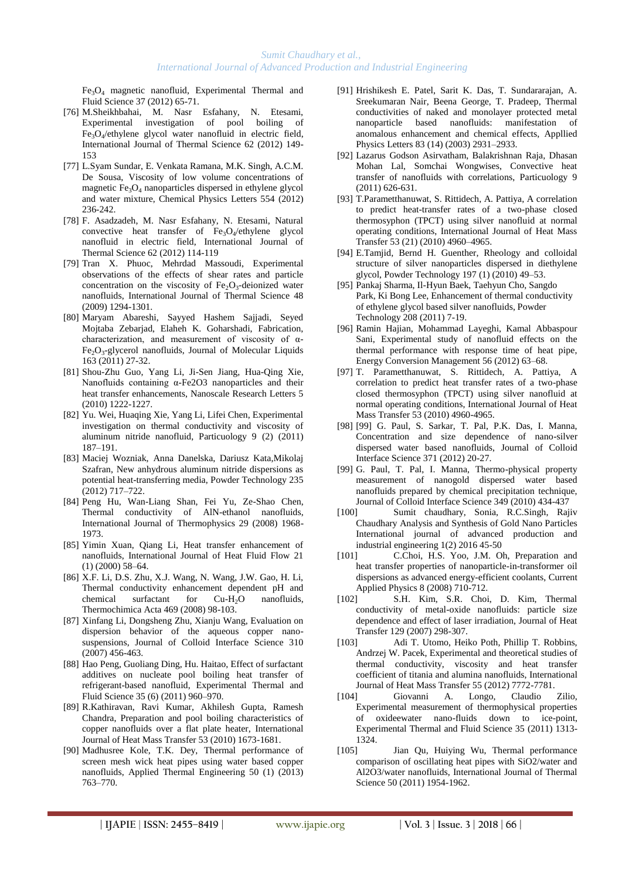$Fe<sub>3</sub>O<sub>4</sub>$  magnetic nanofluid, Experimental Thermal and Fluid Science 37 (2012) 65-71.

- [76] M.Sheikhbahai, M. Nasr Esfahany, N. Etesami, Experimental investigation of pool boiling of Fe3O<sup>4</sup> /ethylene glycol water nanofluid in electric field, International Journal of Thermal Science 62 (2012) 149- 153
- [77] L.Syam Sundar, E. Venkata Ramana, M.K. Singh, A.C.M. De Sousa, Viscosity of low volume concentrations of magnetic  $Fe<sub>3</sub>O<sub>4</sub>$  nanoparticles dispersed in ethylene glycol and water mixture, Chemical Physics Letters 554 (2012) 236-242.
- [78] F. Asadzadeh, M. Nasr Esfahany, N. Etesami, Natural convective heat transfer of  $Fe<sub>3</sub>O<sub>4</sub>/eth$ ylene glycol nanofluid in electric field, International Journal of Thermal Science 62 (2012) 114-119
- [79] Tran X. Phuoc, Mehrdad Massoudi, Experimental observations of the effects of shear rates and particle concentration on the viscosity of  $Fe<sub>2</sub>O<sub>3</sub>$ -deionized water nanofluids, International Journal of Thermal Science 48 (2009) 1294-1301.
- [80] Maryam Abareshi, Sayyed Hashem Sajjadi, Seyed Mojtaba Zebarjad, Elaheh K. Goharshadi, Fabrication, characterization, and measurement of viscosity of α-Fe<sub>2</sub>O<sub>3</sub>-glycerol nanofluids, Journal of Molecular Liquids 163 (2011) 27-32.
- [81] Shou-Zhu Guo, Yang Li, Ji-Sen Jiang, Hua-Qing Xie, Nanofluids containing α-Fe2O3 nanoparticles and their heat transfer enhancements, Nanoscale Research Letters 5 (2010) 1222-1227.
- [82] Yu. Wei, Huaqing Xie, Yang Li, Lifei Chen, Experimental investigation on thermal conductivity and viscosity of aluminum nitride nanofluid, Particuology 9 (2) (2011) 187–191.
- [83] Maciej Wozniak, Anna Danelska, Dariusz Kata,Mikolaj Szafran, New anhydrous aluminum nitride dispersions as potential heat-transferring media, Powder Technology 235 (2012) 717–722.
- [84] Peng Hu, Wan-Liang Shan, Fei Yu, Ze-Shao Chen, Thermal conductivity of AlN-ethanol nanofluids, International Journal of Thermophysics 29 (2008) 1968- 1973.
- [85] Yimin Xuan, Oiang Li, Heat transfer enhancement of nanofluids, International Journal of Heat Fluid Flow 21 (1) (2000) 58–64.
- [86] X.F. Li, D.S. Zhu, X.J. Wang, N. Wang, J.W. Gao, H. Li, Thermal conductivity enhancement dependent pH and<br>chemical surfactant for Cu-H<sub>2</sub>O nanofluids. chemical surfactant for  $Cu-H<sub>2</sub>O$ Thermochimica Acta 469 (2008) 98-103.
- [87] Xinfang Li, Dongsheng Zhu, Xianju Wang, Evaluation on dispersion behavior of the aqueous copper nanosuspensions, Journal of Colloid Interface Science 310 (2007) 456-463.
- [88] Hao Peng, Guoliang Ding, Hu. Haitao, Effect of surfactant additives on nucleate pool boiling heat transfer of refrigerant-based nanofluid, Experimental Thermal and Fluid Science 35 (6) (2011) 960–970.
- [89] R.Kathiravan, Ravi Kumar, Akhilesh Gupta, Ramesh Chandra, Preparation and pool boiling characteristics of copper nanofluids over a flat plate heater, International Journal of Heat Mass Transfer 53 (2010) 1673-1681.
- [90] Madhusree Kole, T.K. Dey, Thermal performance of screen mesh wick heat pipes using water based copper nanofluids, Applied Thermal Engineering 50 (1) (2013) 763–770.
- [91] Hrishikesh E. Patel, Sarit K. Das, T. Sundararajan, A. Sreekumaran Nair, Beena George, T. Pradeep, Thermal conductivities of naked and monolayer protected metal nanoparticle based nanofluids: manifestation of anomalous enhancement and chemical effects, Appllied Physics Letters 83 (14) (2003) 2931–2933.
- [92] Lazarus Godson Asirvatham, Balakrishnan Raja, Dhasan Mohan Lal, Somchai Wongwises, Convective heat transfer of nanofluids with correlations, Particuology 9 (2011) 626-631.
- [93] T.Parametthanuwat, S. Rittidech, A. Pattiya, A correlation to predict heat-transfer rates of a two-phase closed thermosyphon (TPCT) using silver nanofluid at normal operating conditions, International Journal of Heat Mass Transfer 53 (21) (2010) 4960–4965.
- [94] E.Tamjid, Bernd H. Guenther, Rheology and colloidal structure of silver nanoparticles dispersed in diethylene glycol, Powder Technology 197 (1) (2010) 49–53.
- [95] Pankaj Sharma, Il-Hyun Baek, Taehyun Cho, Sangdo Park, Ki Bong Lee, Enhancement of thermal conductivity of ethylene glycol based silver nanofluids, Powder Technology 208 (2011) 7-19.
- [96] Ramin Hajian, Mohammad Layeghi, Kamal Abbaspour Sani, Experimental study of nanofluid effects on the thermal performance with response time of heat pipe, Energy Conversion Management 56 (2012) 63–68.
- [97] T. Parametthanuwat, S. Rittidech, A. Pattiya, A correlation to predict heat transfer rates of a two-phase closed thermosyphon (TPCT) using silver nanofluid at normal operating conditions, International Journal of Heat Mass Transfer 53 (2010) 4960-4965.
- [98] [99] G. Paul, S. Sarkar, T. Pal, P.K. Das, I. Manna, Concentration and size dependence of nano-silver dispersed water based nanofluids, Journal of Colloid Interface Science 371 (2012) 20-27.
- [99] G. Paul, T. Pal, I. Manna, Thermo-physical property measurement of nanogold dispersed water based nanofluids prepared by chemical precipitation technique, Journal of Colloid Interface Science 349 (2010) 434-437
- [100] Sumit chaudhary, Sonia, R.C.Singh, Rajiv Chaudhary Analysis and Synthesis of Gold Nano Particles International journal of advanced production and industrial engineering 1(2) 2016 45-50
- [101] C.Choi, H.S. Yoo, J.M. Oh, Preparation and heat transfer properties of nanoparticle-in-transformer oil dispersions as advanced energy-efficient coolants, Current Applied Physics 8 (2008) 710-712.<br>[102] S.H. Kim. S.R. Choi
- S.H. Kim, S.R. Choi, D. Kim, Thermal conductivity of metal-oxide nanofluids: particle size dependence and effect of laser irradiation, Journal of Heat Transfer 129 (2007) 298-307.
- [103] Adi T. Utomo, Heiko Poth, Phillip T. Robbins, Andrzej W. Pacek, Experimental and theoretical studies of thermal conductivity, viscosity and heat transfer coefficient of titania and alumina nanofluids, International Journal of Heat Mass Transfer 55 (2012) 7772-7781.
- [104] Giovanni A. Longo, Claudio Zilio, Experimental measurement of thermophysical properties of oxideewater nano-fluids down to ice-point, Experimental Thermal and Fluid Science 35 (2011) 1313- 1324.
- [105] Jian Qu, Huiying Wu, Thermal performance comparison of oscillating heat pipes with SiO2/water and Al2O3/water nanofluids, International Journal of Thermal Science 50 (2011) 1954-1962.